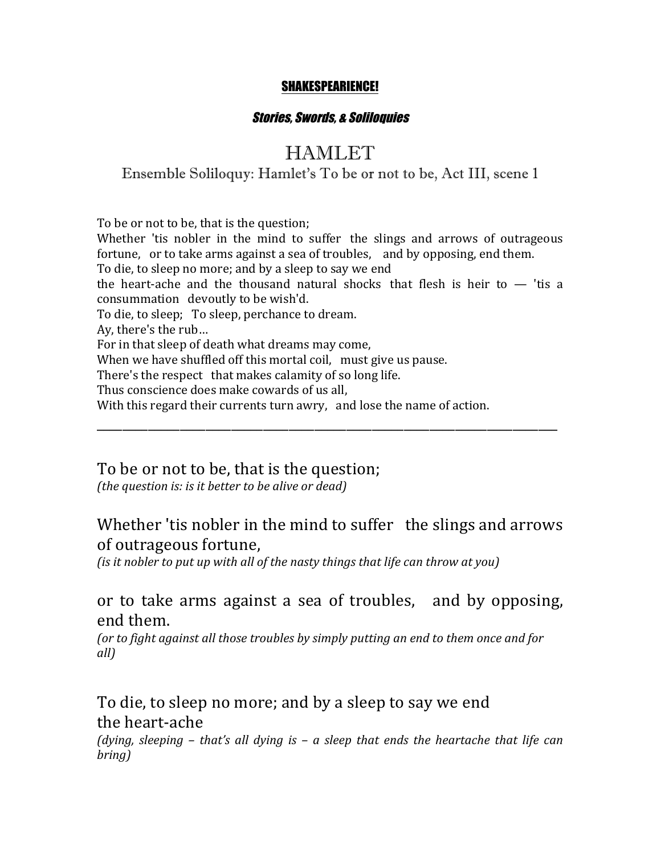#### SHAKESPEARIENCE!

#### Stories, Swords, & Soliloquies

# HAMLET

### Ensemble Soliloquy: Hamlet's To be or not to be, Act III, scene 1

To be or not to be, that is the question; Whether 'tis nobler in the mind to suffer the slings and arrows of outrageous fortune, or to take arms against a sea of troubles, and by opposing, end them. To die, to sleep no more; and by a sleep to say we end the heart-ache and the thousand natural shocks that flesh is heir to  $-$  'tis a consummation devoutly to be wish'd. To die, to sleep; To sleep, perchance to dream. Ay, there's the rub... For in that sleep of death what dreams may come, When we have shuffled off this mortal coil, must give us pause. There's the respect that makes calamity of so long life. Thus conscience does make cowards of us all, With this regard their currents turn awry, and lose the name of action.

To be or not to be, that is the question;

*(the question is: is it better to be alive or dead)* 

## Whether 'tis nobler in the mind to suffer the slings and arrows of outrageous fortune,

\_\_\_\_\_\_\_\_\_\_\_\_\_\_\_\_\_\_\_\_\_\_\_\_\_\_\_\_\_\_\_\_\_\_\_\_\_\_\_\_\_\_\_\_\_\_\_\_\_\_\_\_\_\_\_\_\_\_\_\_\_\_\_\_\_\_\_\_\_\_\_\_

*(is it nobler to put up with all of the nasty things that life can throw at you)* 

## or to take arms against a sea of troubles, and by opposing, end them.

(or to fight against all those troubles by simply putting an end to them once and for *all)*

To die, to sleep no more; and by a sleep to say we end the heart-ache

*(dying, sleeping* – *that's all dying is* – *a sleep* that ends the heartache that life can *bring)*